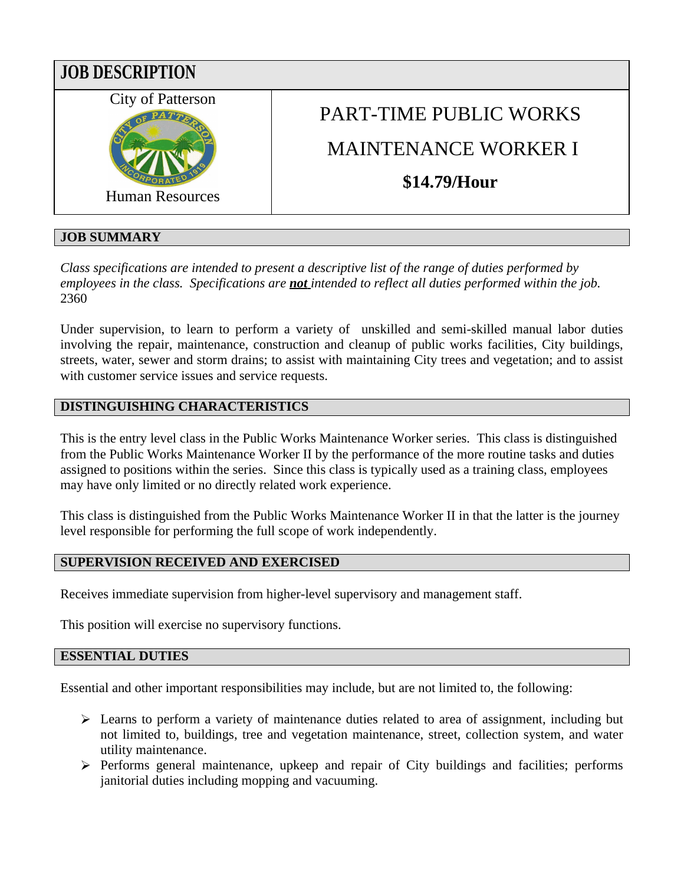

# **JOB SUMMARY**

*Class specifications are intended to present a descriptive list of the range of duties performed by employees in the class. Specifications are not intended to reflect all duties performed within the job.* 2360

Under supervision, to learn to perform a variety of unskilled and semi-skilled manual labor duties involving the repair, maintenance, construction and cleanup of public works facilities, City buildings, streets, water, sewer and storm drains; to assist with maintaining City trees and vegetation; and to assist with customer service issues and service requests.

## **DISTINGUISHING CHARACTERISTICS**

This is the entry level class in the Public Works Maintenance Worker series. This class is distinguished from the Public Works Maintenance Worker II by the performance of the more routine tasks and duties assigned to positions within the series. Since this class is typically used as a training class, employees may have only limited or no directly related work experience.

This class is distinguished from the Public Works Maintenance Worker II in that the latter is the journey level responsible for performing the full scope of work independently.

## **SUPERVISION RECEIVED AND EXERCISED**

Receives immediate supervision from higher-level supervisory and management staff.

This position will exercise no supervisory functions.

### **ESSENTIAL DUTIES**

Essential and other important responsibilities may include, but are not limited to, the following:

- Exercise 1 Learns to perform a variety of maintenance duties related to area of assignment, including but not limited to, buildings, tree and vegetation maintenance, street, collection system, and water utility maintenance.
- $\triangleright$  Performs general maintenance, upkeep and repair of City buildings and facilities; performs janitorial duties including mopping and vacuuming.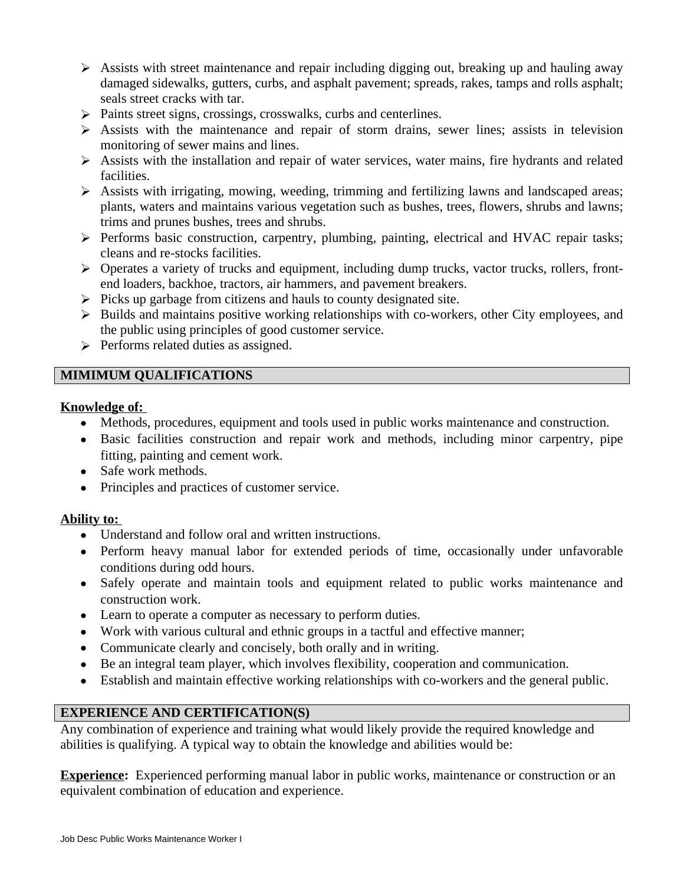- $\triangleright$  Assists with street maintenance and repair including digging out, breaking up and hauling away damaged sidewalks, gutters, curbs, and asphalt pavement; spreads, rakes, tamps and rolls asphalt; seals street cracks with tar.
- $\triangleright$  Paints street signs, crossings, crosswalks, curbs and centerlines.
- $\triangleright$  Assists with the maintenance and repair of storm drains, sewer lines; assists in television monitoring of sewer mains and lines.
- $\triangleright$  Assists with the installation and repair of water services, water mains, fire hydrants and related facilities.
- $\triangleright$  Assists with irrigating, mowing, weeding, trimming and fertilizing lawns and landscaped areas; plants, waters and maintains various vegetation such as bushes, trees, flowers, shrubs and lawns; trims and prunes bushes, trees and shrubs.
- $\triangleright$  Performs basic construction, carpentry, plumbing, painting, electrical and HVAC repair tasks; cleans and re-stocks facilities.
- Operates a variety of trucks and equipment, including dump trucks, vactor trucks, rollers, frontend loaders, backhoe, tractors, air hammers, and pavement breakers.
- $\triangleright$  Picks up garbage from citizens and hauls to county designated site.
- Builds and maintains positive working relationships with co-workers, other City employees, and the public using principles of good customer service.
- $\triangleright$  Performs related duties as assigned.

## **MIMIMUM QUALIFICATIONS**

#### **Knowledge of:**

- Methods, procedures, equipment and tools used in public works maintenance and construction.
- Basic facilities construction and repair work and methods, including minor carpentry, pipe fitting, painting and cement work.
- Safe work methods.
- Principles and practices of customer service.

## **Ability to:**

- Understand and follow oral and written instructions.
- Perform heavy manual labor for extended periods of time, occasionally under unfavorable conditions during odd hours.
- Safely operate and maintain tools and equipment related to public works maintenance and construction work.
- Learn to operate a computer as necessary to perform duties.
- Work with various cultural and ethnic groups in a tactful and effective manner;
- Communicate clearly and concisely, both orally and in writing.
- Be an integral team player, which involves flexibility, cooperation and communication.
- Establish and maintain effective working relationships with co-workers and the general public.

## **EXPERIENCE AND CERTIFICATION(S)**

Any combination of experience and training what would likely provide the required knowledge and abilities is qualifying. A typical way to obtain the knowledge and abilities would be:

**Experience:** Experienced performing manual labor in public works, maintenance or construction or an equivalent combination of education and experience.